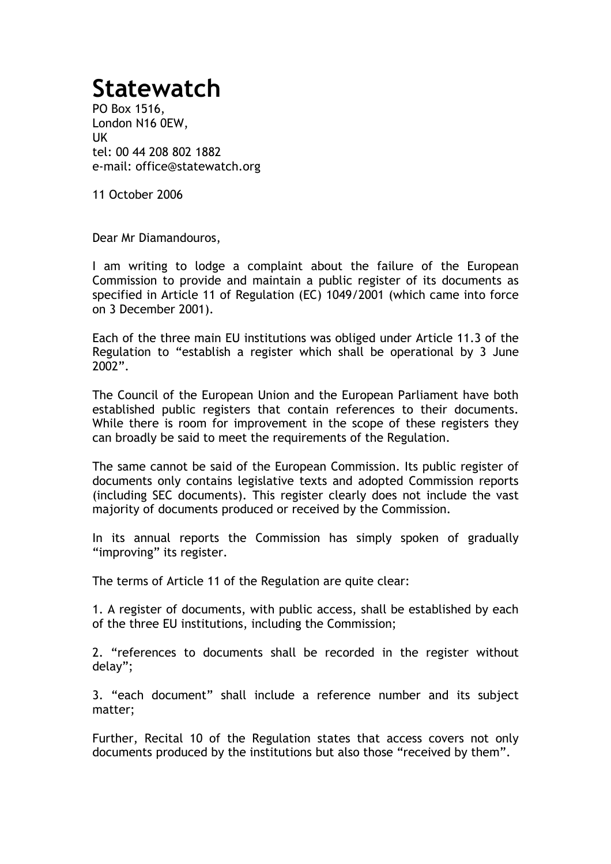## **Statewatch**

PO Box 1516, London N16 0EW, UK tel: 00 44 208 802 1882 e-mail: office@statewatch.org

11 October 2006

Dear Mr Diamandouros,

I am writing to lodge a complaint about the failure of the European Commission to provide and maintain a public register of its documents as specified in Article 11 of Regulation (EC) 1049/2001 (which came into force on 3 December 2001).

Each of the three main EU institutions was obliged under Article 11.3 of the Regulation to "establish a register which shall be operational by 3 June 2002".

The Council of the European Union and the European Parliament have both established public registers that contain references to their documents. While there is room for improvement in the scope of these registers they can broadly be said to meet the requirements of the Regulation.

The same cannot be said of the European Commission. Its public register of documents only contains legislative texts and adopted Commission reports (including SEC documents). This register clearly does not include the vast majority of documents produced or received by the Commission.

In its annual reports the Commission has simply spoken of gradually "improving" its register.

The terms of Article 11 of the Regulation are quite clear:

1. A register of documents, with public access, shall be established by each of the three EU institutions, including the Commission;

2. "references to documents shall be recorded in the register without delay";

3. "each document" shall include a reference number and its subject matter;

Further, Recital 10 of the Regulation states that access covers not only documents produced by the institutions but also those "received by them".